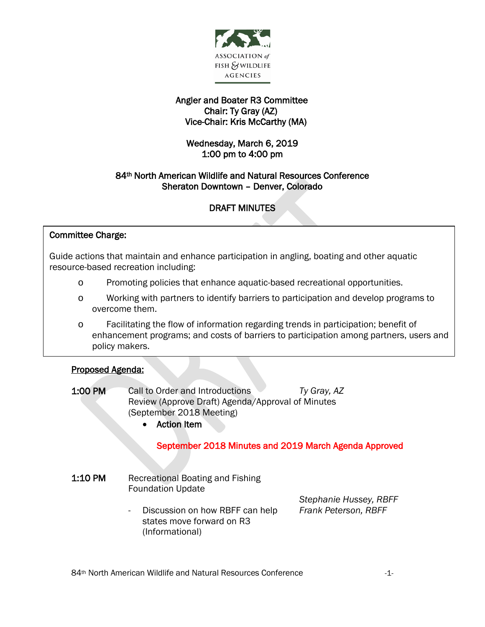

## Angler and Boater R3 Committee Chair: Ty Gray (AZ) Vice-Chair: Kris McCarthy (MA)

## Wednesday, March 6, 2019 1:00 pm to 4:00 pm

## 84th North American Wildlife and Natural Resources Conference Sheraton Downtown – Denver, Colorado

# DRAFT MINUTES

### J Committee Charge:

 Guide actions that maintain and enhance participation in angling, boating and other aquatic ้ resource-based recreation including:

- o Promoting policies that enhance aquatic-based recreational opportunities.
- o Working with partners to identify barriers to participation and develop programs to overcome them.
- o Facilitating the flow of information regarding trends in participation; benefit of enhancement programs; and costs of barriers to participation among partners, users and policy makers.

#### İ Proposed Agenda:

- 1:00 PM Call to Order and Introductions *Ty Gray, AZ* Review (Approve Draft) Agenda/Approval of Minutes (September 2018 Meeting)
	- Action Item

### September 2018 Minutes and 2019 March Agenda Approved

- 1:10 PM Recreational Boating and Fishing Foundation Update
	- Discussion on how RBFF can help *Frank Peterson, RBFF* states move forward on R3 (Informational)

*Stephanie Hussey, RBFF*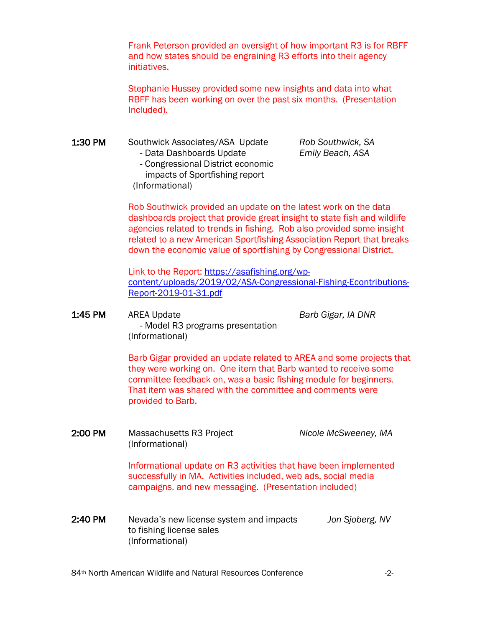Frank Peterson provided an oversight of how important R3 is for RBFF and how states should be engraining R3 efforts into their agency initiatives.

Stephanie Hussey provided some new insights and data into what RBFF has been working on over the past six months. (Presentation Included).

1:30 PM Southwick Associates/ASA Update *Rob Southwick, SA* - Data Dashboards Update *Emily Beach, ASA* - Congressional District economic

 impacts of Sportfishing report (Informational)

Rob Southwick provided an update on the latest work on the data dashboards project that provide great insight to state fish and wildlife agencies related to trends in fishing. Rob also provided some insight related to a new American Sportfishing Association Report that breaks down the economic value of sportfishing by Congressional District.

Link to the Report: [https://asafishing.org/wp](https://asafishing.org/wp-content/uploads/2019/02/ASA-Congressional-Fishing-Econtributions-Report-2019-01-31.pdf)[content/uploads/2019/02/ASA-Congressional-Fishing-Econtributions-](https://asafishing.org/wp-content/uploads/2019/02/ASA-Congressional-Fishing-Econtributions-Report-2019-01-31.pdf)[Report-2019-01-31.pdf](https://asafishing.org/wp-content/uploads/2019/02/ASA-Congressional-Fishing-Econtributions-Report-2019-01-31.pdf)

1:45 PM AREA Update *Barb Gigar, IA DNR*  - Model R3 programs presentation (Informational)

> Barb Gigar provided an update related to AREA and some projects that they were working on. One item that Barb wanted to receive some committee feedback on, was a basic fishing module for beginners. That item was shared with the committee and comments were provided to Barb.

2:00 PM Massachusetts R3 Project *Nicole McSweeney, MA* (Informational)

> Informational update on R3 activities that have been implemented successfully in MA. Activities included, web ads, social media campaigns, and new messaging. (Presentation included)

2:40 PM Nevada's new license system and impacts *Jon Sjoberg, NV* to fishing license sales (Informational)